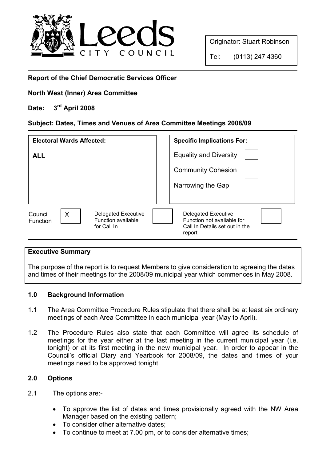

Originator: Stuart Robinson

Tel: (0113) 247 4360

## Report of the Chief Democratic Services Officer

## North West (Inner) Area Committee

# Date: 3rd April 2008

### Subject: Dates, Times and Venues of Area Committee Meetings 2008/09

| <b>Electoral Wards Affected:</b>                                                                   | <b>Specific Implications For:</b>                                                             |
|----------------------------------------------------------------------------------------------------|-----------------------------------------------------------------------------------------------|
| <b>ALL</b>                                                                                         | <b>Equality and Diversity</b>                                                                 |
|                                                                                                    | <b>Community Cohesion</b>                                                                     |
|                                                                                                    | Narrowing the Gap                                                                             |
|                                                                                                    |                                                                                               |
| $\times$<br>Delegated Executive<br>Council<br>Function available<br><b>Function</b><br>for Call In | Delegated Executive<br>Function not available for<br>Call In Details set out in the<br>report |

### Executive Summary

The purpose of the report is to request Members to give consideration to agreeing the dates and times of their meetings for the 2008/09 municipal year which commences in May 2008.

### 1.0 Background Information

- 1.1 The Area Committee Procedure Rules stipulate that there shall be at least six ordinary meetings of each Area Committee in each municipal year (May to April).
- 1.2 The Procedure Rules also state that each Committee will agree its schedule of meetings for the year either at the last meeting in the current municipal year (i.e. tonight) or at its first meeting in the new municipal year. In order to appear in the Council's official Diary and Yearbook for 2008/09, the dates and times of your meetings need to be approved tonight.

### 2.0 Options

- 2.1 The options are:-
	- To approve the list of dates and times provisionally agreed with the NW Area Manager based on the existing pattern;
	- To consider other alternative dates;
	- To continue to meet at 7.00 pm, or to consider alternative times;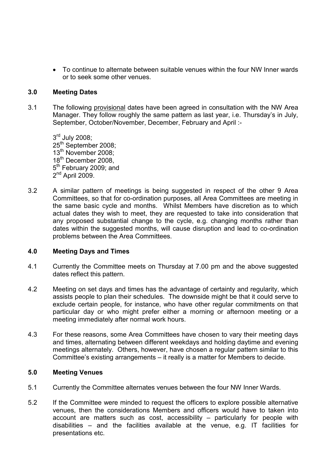• To continue to alternate between suitable venues within the four NW Inner wards or to seek some other venues.

#### 3.0 Meeting Dates

3.1 The following provisional dates have been agreed in consultation with the NW Area Manager. They follow roughly the same pattern as last year, i.e. Thursday's in July, September, October/November, December, February and April :-

3<sup>rd</sup> July 2008; 25<sup>th</sup> September 2008; 13<sup>th</sup> November 2008; 18<sup>th</sup> December 2008. 5<sup>th</sup> February 2009; and  $2<sup>nd</sup>$  April 2009.

3.2 A similar pattern of meetings is being suggested in respect of the other 9 Area Committees, so that for co-ordination purposes, all Area Committees are meeting in the same basic cycle and months. Whilst Members have discretion as to which actual dates they wish to meet, they are requested to take into consideration that any proposed substantial change to the cycle, e.g. changing months rather than dates within the suggested months, will cause disruption and lead to co-ordination problems between the Area Committees.

#### 4.0 Meeting Days and Times

- 4.1 Currently the Committee meets on Thursday at 7.00 pm and the above suggested dates reflect this pattern.
- 4.2 Meeting on set days and times has the advantage of certainty and regularity, which assists people to plan their schedules. The downside might be that it could serve to exclude certain people, for instance, who have other regular commitments on that particular day or who might prefer either a morning or afternoon meeting or a meeting immediately after normal work hours.
- 4.3 For these reasons, some Area Committees have chosen to vary their meeting days and times, alternating between different weekdays and holding daytime and evening meetings alternately. Others, however, have chosen a regular pattern similar to this Committee's existing arrangements – it really is a matter for Members to decide.

#### 5.0 Meeting Venues

- 5.1 Currently the Committee alternates venues between the four NW Inner Wards.
- 5.2 If the Committee were minded to request the officers to explore possible alternative venues, then the considerations Members and officers would have to taken into account are matters such as cost, accessibility – particularly for people with disabilities – and the facilities available at the venue, e.g. IT facilities for presentations etc.